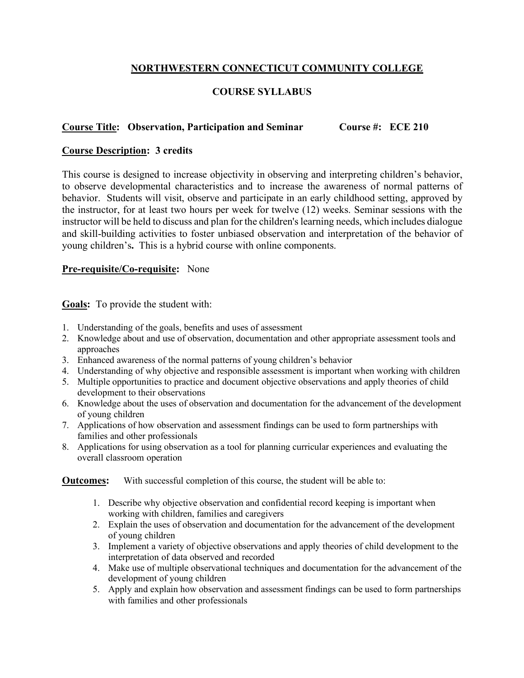## **NORTHWESTERN CONNECTICUT COMMUNITY COLLEGE**

# **COURSE SYLLABUS**

## **Course Title: Observation, Participation and Seminar Course #: ECE 210**

### **Course Description: 3 credits**

This course is designed to increase objectivity in observing and interpreting children's behavior, to observe developmental characteristics and to increase the awareness of normal patterns of behavior. Students will visit, observe and participate in an early childhood setting, approved by the instructor, for at least two hours per week for twelve (12) weeks. Seminar sessions with the instructor will be held to discuss and plan for the children's learning needs, which includes dialogue and skill-building activities to foster unbiased observation and interpretation of the behavior of young children's**.** This is a hybrid course with online components.

#### **Pre-requisite/Co-requisite:** None

**Goals:** To provide the student with:

- 1. Understanding of the goals, benefits and uses of assessment
- 2. Knowledge about and use of observation, documentation and other appropriate assessment tools and approaches
- 3. Enhanced awareness of the normal patterns of young children's behavior
- 4. Understanding of why objective and responsible assessment is important when working with children
- 5. Multiple opportunities to practice and document objective observations and apply theories of child development to their observations
- 6. Knowledge about the uses of observation and documentation for the advancement of the development of young children
- 7. Applications of how observation and assessment findings can be used to form partnerships with families and other professionals
- 8. Applications for using observation as a tool for planning curricular experiences and evaluating the overall classroom operation

**Outcomes:** With successful completion of this course, the student will be able to:

- 1. Describe why objective observation and confidential record keeping is important when working with children, families and caregivers
- 2. Explain the uses of observation and documentation for the advancement of the development of young children
- 3. Implement a variety of objective observations and apply theories of child development to the interpretation of data observed and recorded
- 4. Make use of multiple observational techniques and documentation for the advancement of the development of young children
- 5. Apply and explain how observation and assessment findings can be used to form partnerships with families and other professionals